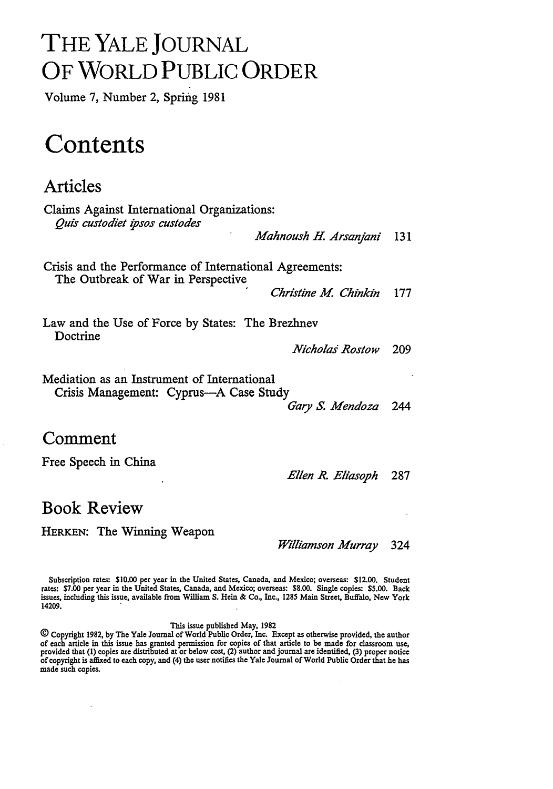## **THE YALE JOURNAL OF WORLD PUBLIC ORDER**

Volume **7,** Number 2, Spring **1981**

# **Contents**

### Articles

Claims Against International Organizations: *Quis custodiet Tpsos custodes*

*Mahnoush H. Arsanjani* **<sup>131</sup>**

Crisis and the Performance of International Agreements: The Outbreak of War in Perspective

*Christine M. Chinkin* **177**

Law and the Use of Force **by** States: The Brezhnev Doctrine

*Nicholas Rostow* **209**

Mediation as an Instrument of International Crisis Management: Cyprus-A Case Study

*Gary S. Mendoza 244*

#### Comment

Free Speech in China

*Ellen A Eliasoph* **287**

#### Book Review

HERKEN: The Winning Weapon

*Williamson Murray* 324

Subscription rates: **\$10.00** per year in the United States, Canada, and Mexico; overseas: \$12.00. Student rates: **\$7.00** per year in the United States, Canada, and Mexico; overseas: **\$8.00.** Single copies: **\$5.00.** Back issues, including this issue, available from William **S.** Hein **&** Co., Inc., **1285** Main Street, Buffalo, New York 14209.

This issue published May, 1982<br>O Copyright 1982, by The Yale Journal of World Public Order, Inc. Except as otherwise provided, the author<br>of each article in this issue has granted permission for copies of that article to b of copyright is affixed to each copy, and (4) the user notifies the Yale Journal of World Public Order that he has made such copies.